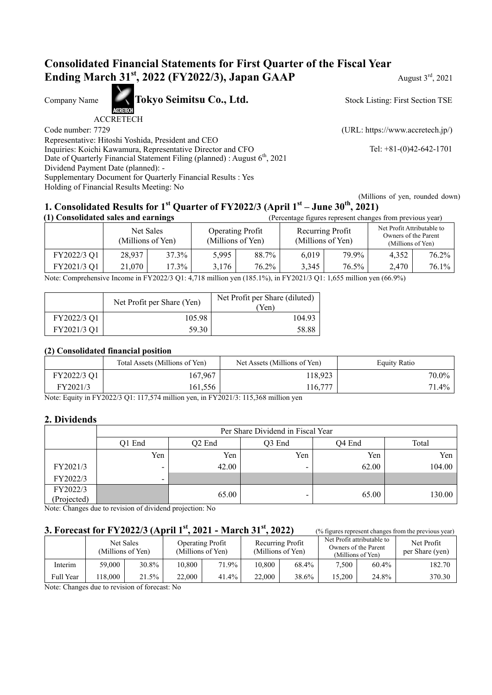# **Consolidated Financial Statements for First Quarter of the Fiscal Year Ending March 31<sup>st</sup>, 2022 (FY2022/3), Japan GAAP** August 3<sup>rd</sup>, 2021

Company Name **Tokyo Seimitsu Co., Ltd.** 

ACCRETECH

Representative: Hitoshi Yoshida, President and CEO Inquiries: Koichi Kawamura, Representative Director and CFO Tel: +81-(0)42-642-1701 Date of Quarterly Financial Statement Filing (planned) : August 6<sup>th</sup>, 2021 Dividend Payment Date (planned): - Supplementary Document for Quarterly Financial Results : Yes Holding of Financial Results Meeting: No

Stock Listing: First Section TSE

Code number: 7729 (URL: https://www.accretech.jp/)

 (Millions of yen, rounded down) **1. Consolidated Results for 1st Quarter of FY2022/3 (April 1st – June 30th, 2021)**

| (1) Consolidated sales and earnings |                                |       |                                              | (Percentage figures represent changes from previous year) |                                       |       |                                                                         |       |
|-------------------------------------|--------------------------------|-------|----------------------------------------------|-----------------------------------------------------------|---------------------------------------|-------|-------------------------------------------------------------------------|-------|
|                                     | Net Sales<br>(Millions of Yen) |       | <b>Operating Profit</b><br>(Millions of Yen) |                                                           | Recurring Profit<br>(Millions of Yen) |       | Net Profit Attributable to<br>Owners of the Parent<br>(Millions of Yen) |       |
| FY2022/3 Q1                         | 28,937                         | 37.3% | 5.995                                        | 88.7%                                                     | 6.019                                 | 79.9% | 4.352                                                                   | 76.2% |
| FY2021/3 Q1                         | 21,070                         | 17.3% | 3.176                                        | 76.2%                                                     | 3.345                                 | 76.5% | 2.470                                                                   | 76.1% |

Note: Comprehensive Income in FY2022/3 Q1: 4,718 million yen (185.1%), in FY2021/3 Q1: 1,655 million yen (66.9%)

|             | Net Profit per Share (Yen) | Net Profit per Share (diluted)<br>(Yen) |
|-------------|----------------------------|-----------------------------------------|
| FY2022/3 Q1 | 105.98                     | 104.93                                  |
| FY2021/3 Q1 | 59.30                      | 58.88                                   |

#### **(2) Consolidated financial position**

|             | Total Assets (Millions of Yen) | Net Assets (Millions of Yen) | <b>Equity Ratio</b> |
|-------------|--------------------------------|------------------------------|---------------------|
| FY2022/3 Q1 | 167,967                        | 118.923                      | $70.0\%$            |
| FY2021/3    | 161,556                        | 116.777                      | 71.4%               |

Note: Equity in FY2022/3 Q1: 117,574 million yen, in FY2021/3: 115,368 million yen

## **2. Dividends**

|             | Per Share Dividend in Fiscal Year |        |       |       |        |  |  |  |
|-------------|-----------------------------------|--------|-------|-------|--------|--|--|--|
|             | Q1 End                            | Q4 End | Total |       |        |  |  |  |
|             | Yen                               | Yen    | Yen   | Yen   | Yen    |  |  |  |
| FY2021/3    | -                                 | 42.00  | -     | 62.00 | 104.00 |  |  |  |
| FY2022/3    | $\overline{\phantom{0}}$          |        |       |       |        |  |  |  |
| FY2022/3    |                                   | 65.00  |       | 65.00 | 130.00 |  |  |  |
| (Projected) |                                   |        |       |       |        |  |  |  |

Note: Changes due to revision of dividend projection: No

# **3. Forecast for FY2022/3 (April 1<sup>st</sup>, 2021 - March 31<sup>st</sup>, 2022)** <br>(% figures represent changes from the previous year)

|           |         | Net Sales<br>(Millions of Yen) |        | Operating Profit<br>(Millions of Yen) | Recurring Profit<br>(Millions of Yen) |       |        |          | Net Profit attributable to | Owners of the Parent<br>(Millions of Yen) | Net Profit<br>per Share (yen) |
|-----------|---------|--------------------------------|--------|---------------------------------------|---------------------------------------|-------|--------|----------|----------------------------|-------------------------------------------|-------------------------------|
| Interim   | 59,000  | 30.8%                          | 10,800 | $71.9\%$                              | 10,800                                | 68.4% | 7.500  | $60.4\%$ | 182.70                     |                                           |                               |
| Full Year | !18.000 | 21.5%                          | 22,000 | 41.4%                                 | 22,000                                | 38.6% | 15.200 | 24.8%    | 370.30                     |                                           |                               |

Note: Changes due to revision of forecast: No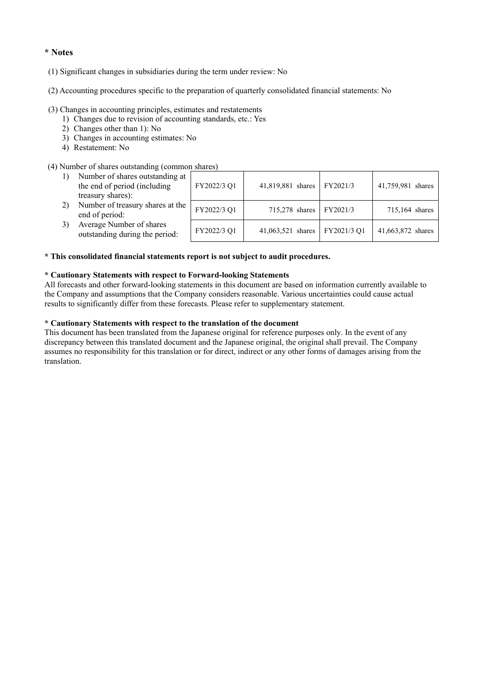#### **\* Notes**

- (1) Significant changes in subsidiaries during the term under review: No
- (2) Accounting procedures specific to the preparation of quarterly consolidated financial statements: No

#### (3) Changes in accounting principles, estimates and restatements

- 1) Changes due to revision of accounting standards, etc.: Yes
- 2) Changes other than 1): No
- 3) Changes in accounting estimates: No
- 4) Restatement: No

#### (4) Number of shares outstanding (common shares)

| Number of shares outstanding at<br>the end of period (including<br>treasury shares): | FY2022/3 Q1 | 41,819,881 shares | FY2021/3    | 41,759,981 shares |
|--------------------------------------------------------------------------------------|-------------|-------------------|-------------|-------------------|
| Number of treasury shares at the<br>end of period:                                   | FY2022/3 Q1 | 715,278 shares    | FY2021/3    | 715,164 shares    |
| Average Number of shares<br>outstanding during the period:                           | FY2022/3 Q1 | 41,063,521 shares | FY2021/3 Q1 | 41,663,872 shares |

#### **\* This consolidated financial statements report is not subject to audit procedures.**

#### **\* Cautionary Statements with respect to Forward-looking Statements**

All forecasts and other forward-looking statements in this document are based on information currently available to the Company and assumptions that the Company considers reasonable. Various uncertainties could cause actual results to significantly differ from these forecasts. Please refer to supplementary statement.

#### **\* Cautionary Statements with respect to the translation of the document**

This document has been translated from the Japanese original for reference purposes only. In the event of any discrepancy between this translated document and the Japanese original, the original shall prevail. The Company assumes no responsibility for this translation or for direct, indirect or any other forms of damages arising from the translation.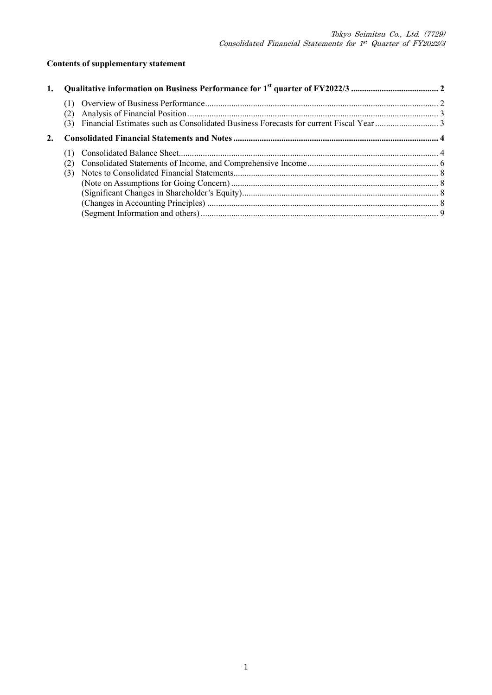# **Contents of supplementary statement**

| 1. |  |  |
|----|--|--|
|    |  |  |
|    |  |  |
|    |  |  |
|    |  |  |
|    |  |  |
|    |  |  |
|    |  |  |
|    |  |  |
|    |  |  |
|    |  |  |
|    |  |  |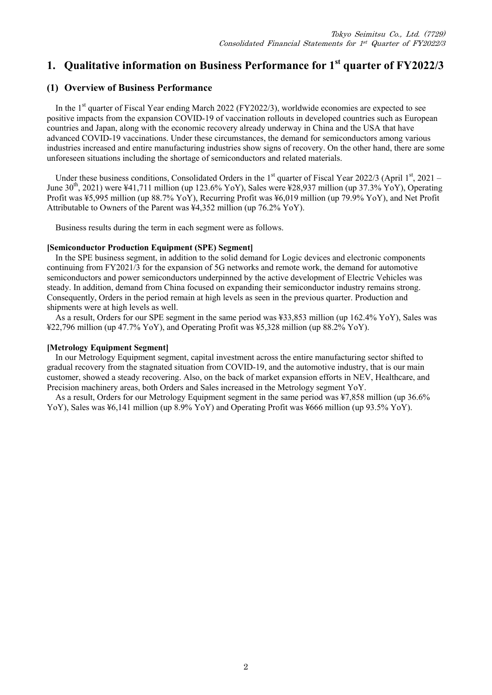# **1. Qualitative information on Business Performance for 1st quarter of FY2022/3**

## **(1) Overview of Business Performance**

In the 1<sup>st</sup> quarter of Fiscal Year ending March 2022 (FY2022/3), worldwide economies are expected to see positive impacts from the expansion COVID-19 of vaccination rollouts in developed countries such as European countries and Japan, along with the economic recovery already underway in China and the USA that have advanced COVID-19 vaccinations. Under these circumstances, the demand for semiconductors among various industries increased and entire manufacturing industries show signs of recovery. On the other hand, there are some unforeseen situations including the shortage of semiconductors and related materials.

Under these business conditions, Consolidated Orders in the  $1<sup>st</sup>$  quarter of Fiscal Year 2022/3 (April  $1<sup>st</sup>$ , 2021 – June  $30^{th}$ , 2021) were ¥41,711 million (up 123.6% YoY), Sales were ¥28,937 million (up 37.3% YoY), Operating Profit was ¥5,995 million (up 88.7% YoY), Recurring Profit was ¥6,019 million (up 79.9% YoY), and Net Profit Attributable to Owners of the Parent was ¥4,352 million (up 76.2% YoY).

Business results during the term in each segment were as follows.

#### **[Semiconductor Production Equipment (SPE) Segment]**

In the SPE business segment, in addition to the solid demand for Logic devices and electronic components continuing from FY2021/3 for the expansion of 5G networks and remote work, the demand for automotive semiconductors and power semiconductors underpinned by the active development of Electric Vehicles was steady. In addition, demand from China focused on expanding their semiconductor industry remains strong. Consequently, Orders in the period remain at high levels as seen in the previous quarter. Production and shipments were at high levels as well.

As a result, Orders for our SPE segment in the same period was ¥33,853 million (up 162.4% YoY), Sales was ¥22,796 million (up 47.7% YoY), and Operating Profit was ¥5,328 million (up 88.2% YoY).

#### **[Metrology Equipment Segment]**

In our Metrology Equipment segment, capital investment across the entire manufacturing sector shifted to gradual recovery from the stagnated situation from COVID-19, and the automotive industry, that is our main customer, showed a steady recovering. Also, on the back of market expansion efforts in NEV, Healthcare, and Precision machinery areas, both Orders and Sales increased in the Metrology segment YoY.

As a result, Orders for our Metrology Equipment segment in the same period was ¥7,858 million (up 36.6% YoY), Sales was ¥6,141 million (up 8.9% YoY) and Operating Profit was ¥666 million (up 93.5% YoY).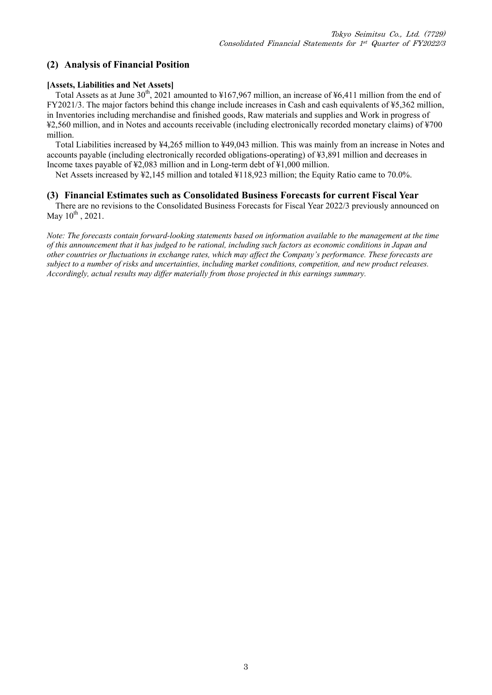## **(2) Analysis of Financial Position**

#### **[Assets, Liabilities and Net Assets]**

Total Assets as at June  $30^{th}$ , 2021 amounted to ¥167,967 million, an increase of ¥6,411 million from the end of FY2021/3. The major factors behind this change include increases in Cash and cash equivalents of ¥5,362 million, in Inventories including merchandise and finished goods, Raw materials and supplies and Work in progress of ¥2,560 million, and in Notes and accounts receivable (including electronically recorded monetary claims) of ¥700 million.

Total Liabilities increased by ¥4,265 million to ¥49,043 million. This was mainly from an increase in Notes and accounts payable (including electronically recorded obligations-operating) of ¥3,891 million and decreases in Income taxes payable of ¥2,083 million and in Long-term debt of ¥1,000 million.

Net Assets increased by ¥2,145 million and totaled ¥118,923 million; the Equity Ratio came to 70.0%.

#### **(3) Financial Estimates such as Consolidated Business Forecasts for current Fiscal Year**

There are no revisions to the Consolidated Business Forecasts for Fiscal Year 2022/3 previously announced on May  $10^{th}$ , 2021.

*Note: The forecasts contain forward-looking statements based on information available to the management at the time of this announcement that it has judged to be rational, including such factors as economic conditions in Japan and other countries or fluctuations in exchange rates, which may affect the Company's performance. These forecasts are subject to a number of risks and uncertainties, including market conditions, competition, and new product releases. Accordingly, actual results may differ materially from those projected in this earnings summary.*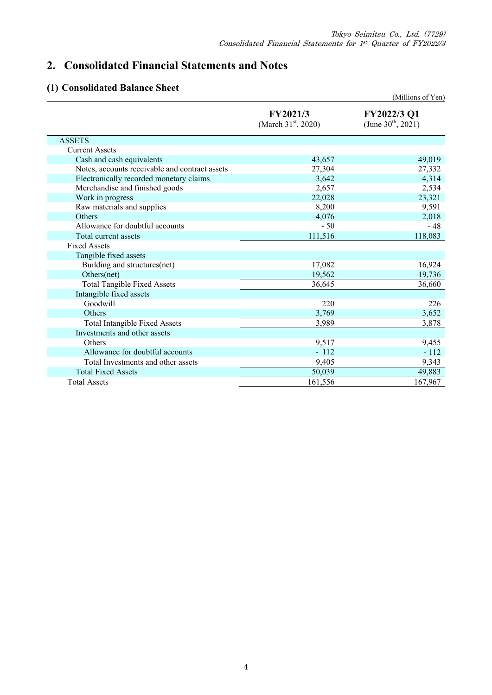# **2. Consolidated Financial Statements and Notes**

# **(1) Consolidated Balance Sheet**

|                                                |                                   | (Millions of Yen)                                    |
|------------------------------------------------|-----------------------------------|------------------------------------------------------|
|                                                | FY2021/3<br>(March $31st$ , 2020) | <b>FY2022/3 Q1</b><br>(June $30^{\text{th}}$ , 2021) |
| <b>ASSETS</b>                                  |                                   |                                                      |
| <b>Current Assets</b>                          |                                   |                                                      |
| Cash and cash equivalents                      | 43,657                            | 49,019                                               |
| Notes, accounts receivable and contract assets | 27,304                            | 27,332                                               |
| Electronically recorded monetary claims        | 3,642                             | 4,314                                                |
| Merchandise and finished goods                 | 2,657                             | 2,534                                                |
| Work in progress                               | 22,028                            | 23,321                                               |
| Raw materials and supplies                     | 8,200                             | 9,591                                                |
| Others                                         | 4,076                             | 2,018                                                |
| Allowance for doubtful accounts                | $-50$                             | $-48$                                                |
| Total current assets                           | 111,516                           | 118,083                                              |
| <b>Fixed Assets</b>                            |                                   |                                                      |
| Tangible fixed assets                          |                                   |                                                      |
| Building and structures(net)                   | 17,082                            | 16,924                                               |
| Others(net)                                    | 19,562                            | 19,736                                               |
| <b>Total Tangible Fixed Assets</b>             | 36,645                            | 36,660                                               |
| Intangible fixed assets                        |                                   |                                                      |
| Goodwill                                       | 220                               | 226                                                  |
| Others                                         | 3,769                             | 3,652                                                |
| <b>Total Intangible Fixed Assets</b>           | 3,989                             | 3,878                                                |
| Investments and other assets                   |                                   |                                                      |
| Others                                         | 9,517                             | 9,455                                                |
| Allowance for doubtful accounts                | $-112$                            | $-112$                                               |
| Total Investments and other assets             | 9,405                             | 9,343                                                |
| <b>Total Fixed Assets</b>                      | 50,039                            | 49,883                                               |
| <b>Total Assets</b>                            | 161,556                           | 167,967                                              |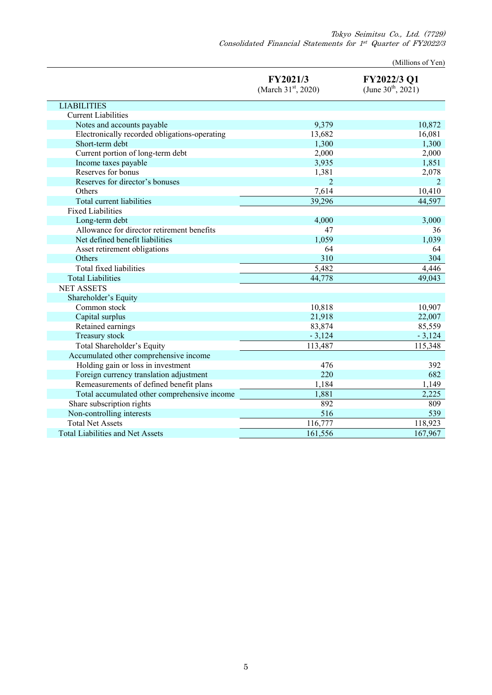Tokyo Seimitsu Co., Ltd. (7729) Consolidated Financial Statements for 1st Quarter of FY2022/3

(Millions of Yen)

|                                               | FY2021/3<br>(March 31 <sup>st</sup> , 2020) | FY2022/3 Q1<br>(June $30^{th}$ , 2021) |
|-----------------------------------------------|---------------------------------------------|----------------------------------------|
| <b>LIABILITIES</b>                            |                                             |                                        |
| <b>Current Liabilities</b>                    |                                             |                                        |
| Notes and accounts payable                    | 9,379                                       | 10,872                                 |
| Electronically recorded obligations-operating | 13,682                                      | 16,081                                 |
| Short-term debt                               | 1,300                                       | 1,300                                  |
| Current portion of long-term debt             | 2,000                                       | 2,000                                  |
| Income taxes payable                          | 3,935                                       | 1,851                                  |
| Reserves for bonus                            | 1,381                                       | 2,078                                  |
| Reserves for director's bonuses               | $\overline{2}$                              | $\overline{2}$                         |
| Others                                        | 7,614                                       | 10,410                                 |
| Total current liabilities                     | 39,296                                      | 44,597                                 |
| <b>Fixed Liabilities</b>                      |                                             |                                        |
| Long-term debt                                | 4,000                                       | 3,000                                  |
| Allowance for director retirement benefits    | 47                                          | 36                                     |
| Net defined benefit liabilities               | 1,059                                       | 1,039                                  |
| Asset retirement obligations                  | 64                                          | 64                                     |
| Others                                        | 310                                         | 304                                    |
| Total fixed liabilities                       | 5,482                                       | 4,446                                  |
| <b>Total Liabilities</b>                      | 44,778                                      | 49,043                                 |
| <b>NET ASSETS</b>                             |                                             |                                        |
| Shareholder's Equity                          |                                             |                                        |
| Common stock                                  | 10,818                                      | 10,907                                 |
| Capital surplus                               | 21,918                                      | 22,007                                 |
| Retained earnings                             | 83,874                                      | 85,559                                 |
| Treasury stock                                | $-3,124$                                    | $-3,124$                               |
| Total Shareholder's Equity                    | 113,487                                     | 115,348                                |
| Accumulated other comprehensive income        |                                             |                                        |
| Holding gain or loss in investment            | 476                                         | 392                                    |
| Foreign currency translation adjustment       | 220                                         | 682                                    |
| Remeasurements of defined benefit plans       | 1,184                                       | 1,149                                  |
| Total accumulated other comprehensive income  | 1,881                                       | 2,225                                  |
| Share subscription rights                     | 892                                         | 809                                    |
| Non-controlling interests                     | 516                                         | 539                                    |
| <b>Total Net Assets</b>                       | 116,777                                     | 118,923                                |
| <b>Total Liabilities and Net Assets</b>       | 161,556                                     | 167,967                                |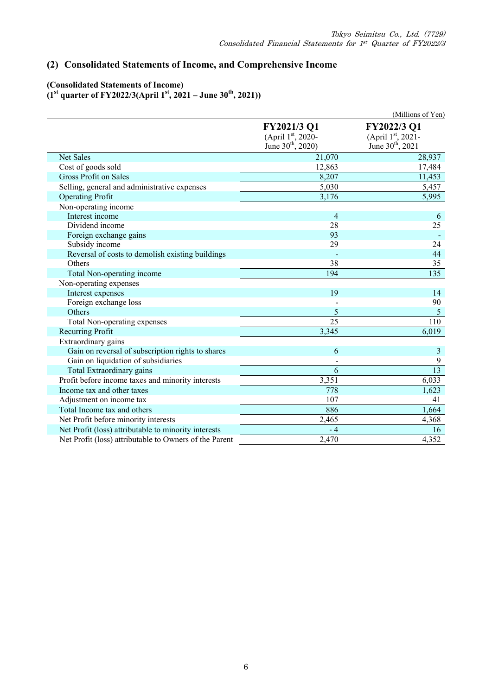# **(2) Consolidated Statements of Income, and Comprehensive Income**

#### **(Consolidated Statements of Income) (1st quarter of FY2022/3(April 1st, 2021 – June 30th, 2021))**

|                                                        |                                                                   | (Millions of Yen)                                                |
|--------------------------------------------------------|-------------------------------------------------------------------|------------------------------------------------------------------|
|                                                        | FY2021/3 Q1<br>(April 1st, 2020-<br>June 30 <sup>th</sup> , 2020) | FY2022/3 Q1<br>(April 1st, 2021-<br>June 30 <sup>th</sup> , 2021 |
| <b>Net Sales</b>                                       | 21,070                                                            | 28,937                                                           |
| Cost of goods sold                                     | 12,863                                                            | 17,484                                                           |
| <b>Gross Profit on Sales</b>                           | 8,207                                                             | 11,453                                                           |
| Selling, general and administrative expenses           | 5,030                                                             | 5,457                                                            |
| <b>Operating Profit</b>                                | 3,176                                                             | 5,995                                                            |
| Non-operating income                                   |                                                                   |                                                                  |
| Interest income                                        | 4                                                                 | 6                                                                |
| Dividend income                                        | 28                                                                | 25                                                               |
| Foreign exchange gains                                 | 93                                                                |                                                                  |
| Subsidy income                                         | 29                                                                | 24                                                               |
| Reversal of costs to demolish existing buildings       |                                                                   | 44                                                               |
| Others                                                 | 38                                                                | 35                                                               |
| Total Non-operating income                             | 194                                                               | 135                                                              |
| Non-operating expenses                                 |                                                                   |                                                                  |
| Interest expenses                                      | 19                                                                | 14                                                               |
| Foreign exchange loss                                  |                                                                   | 90                                                               |
| Others                                                 | 5                                                                 | 5                                                                |
| Total Non-operating expenses                           | 25                                                                | 110                                                              |
| Recurring Profit                                       | 3,345                                                             | 6,019                                                            |
| Extraordinary gains                                    |                                                                   |                                                                  |
| Gain on reversal of subscription rights to shares      | 6                                                                 | 3                                                                |
| Gain on liquidation of subsidiaries                    |                                                                   | 9                                                                |
| Total Extraordinary gains                              | 6                                                                 | 13                                                               |
| Profit before income taxes and minority interests      | 3,351                                                             | 6,033                                                            |
| Income tax and other taxes                             | 778                                                               | 1,623                                                            |
| Adjustment on income tax                               | 107                                                               | 41                                                               |
| Total Income tax and others                            | 886                                                               | 1,664                                                            |
| Net Profit before minority interests                   | 2,465                                                             | 4,368                                                            |
| Net Profit (loss) attributable to minority interests   | $-4$                                                              | 16                                                               |
| Net Profit (loss) attributable to Owners of the Parent | 2,470                                                             | 4,352                                                            |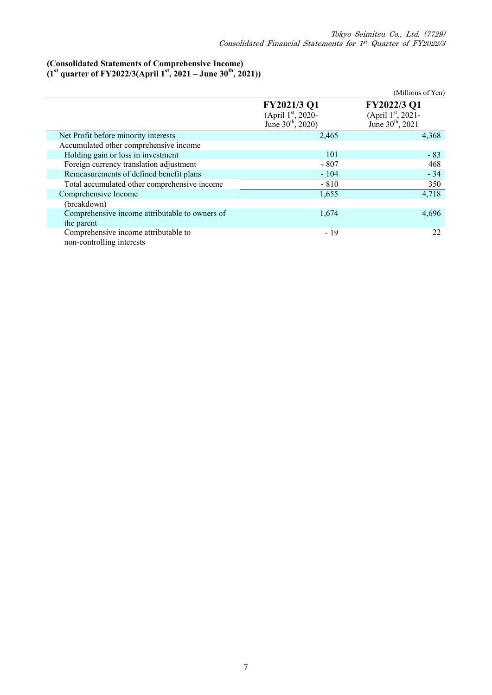## **(Consolidated Statements of Comprehensive Income)**

**(1st quarter of FY2022/3(April 1st, 2021 – June 30th, 2021))** 

|                                                                   |                                                            | (Millions of Yen)                                                |
|-------------------------------------------------------------------|------------------------------------------------------------|------------------------------------------------------------------|
|                                                                   | FY2021/3 Q1<br>(April 1st, 2020-<br>June $30^{th}$ , 2020) | FY2022/3 Q1<br>(April 1st, 2021-<br>June 30 <sup>th</sup> , 2021 |
| Net Profit before minority interests                              | 2,465                                                      | 4,368                                                            |
| Accumulated other comprehensive income                            |                                                            |                                                                  |
| Holding gain or loss in investment                                | 101                                                        | $-83$                                                            |
| Foreign currency translation adjustment                           | $-807$                                                     | 468                                                              |
| Remeasurements of defined benefit plans                           | $-104$                                                     | $-34$                                                            |
| Total accumulated other comprehensive income                      | $-810$                                                     | 350                                                              |
| Comprehensive Income                                              | 1,655                                                      | 4,718                                                            |
| (breakdown)                                                       |                                                            |                                                                  |
| Comprehensive income attributable to owners of<br>the parent      | 1,674                                                      | 4,696                                                            |
| Comprehensive income attributable to<br>non-controlling interests | $-19$                                                      | 22                                                               |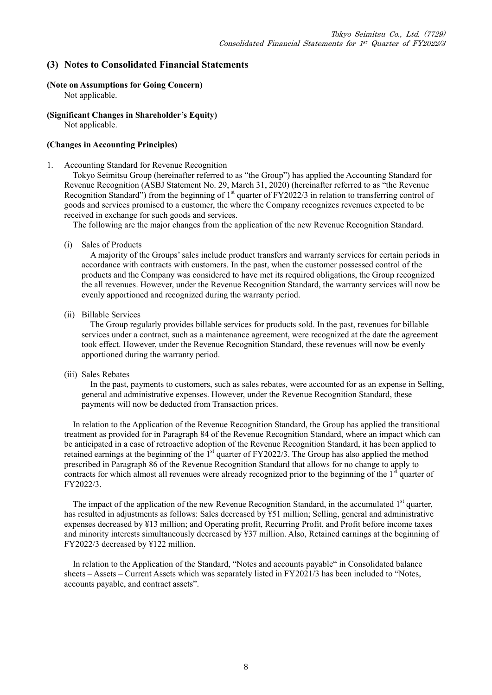## **(3) Notes to Consolidated Financial Statements**

## **(Note on Assumptions for Going Concern)**

Not applicable.

# **(Significant Changes in Shareholder's Equity)**

Not applicable.

### **(Changes in Accounting Principles)**

1. Accounting Standard for Revenue Recognition

Tokyo Seimitsu Group (hereinafter referred to as "the Group") has applied the Accounting Standard for Revenue Recognition (ASBJ Statement No. 29, March 31, 2020) (hereinafter referred to as "the Revenue Recognition Standard") from the beginning of 1<sup>st</sup> quarter of FY2022/3 in relation to transferring control of goods and services promised to a customer, the where the Company recognizes revenues expected to be received in exchange for such goods and services.

The following are the major changes from the application of the new Revenue Recognition Standard.

(i) Sales of Products

A majority of the Groups' sales include product transfers and warranty services for certain periods in accordance with contracts with customers. In the past, when the customer possessed control of the products and the Company was considered to have met its required obligations, the Group recognized the all revenues. However, under the Revenue Recognition Standard, the warranty services will now be evenly apportioned and recognized during the warranty period.

(ii) Billable Services

 The Group regularly provides billable services for products sold. In the past, revenues for billable services under a contract, such as a maintenance agreement, were recognized at the date the agreement took effect. However, under the Revenue Recognition Standard, these revenues will now be evenly apportioned during the warranty period.

(iii) Sales Rebates

 In the past, payments to customers, such as sales rebates, were accounted for as an expense in Selling, general and administrative expenses. However, under the Revenue Recognition Standard, these payments will now be deducted from Transaction prices.

In relation to the Application of the Revenue Recognition Standard, the Group has applied the transitional treatment as provided for in Paragraph 84 of the Revenue Recognition Standard, where an impact which can be anticipated in a case of retroactive adoption of the Revenue Recognition Standard, it has been applied to retained earnings at the beginning of the 1<sup>st</sup> quarter of FY2022/3. The Group has also applied the method prescribed in Paragraph 86 of the Revenue Recognition Standard that allows for no change to apply to contracts for which almost all revenues were already recognized prior to the beginning of the  $1<sup>st</sup>$  quarter of FY2022/3.

The impact of the application of the new Revenue Recognition Standard, in the accumulated  $1<sup>st</sup>$  quarter, has resulted in adjustments as follows: Sales decreased by ¥51 million; Selling, general and administrative expenses decreased by ¥13 million; and Operating profit, Recurring Profit, and Profit before income taxes and minority interests simultaneously decreased by ¥37 million. Also, Retained earnings at the beginning of FY2022/3 decreased by ¥122 million.

In relation to the Application of the Standard, "Notes and accounts payable" in Consolidated balance sheets – Assets – Current Assets which was separately listed in FY2021/3 has been included to "Notes, accounts payable, and contract assets".